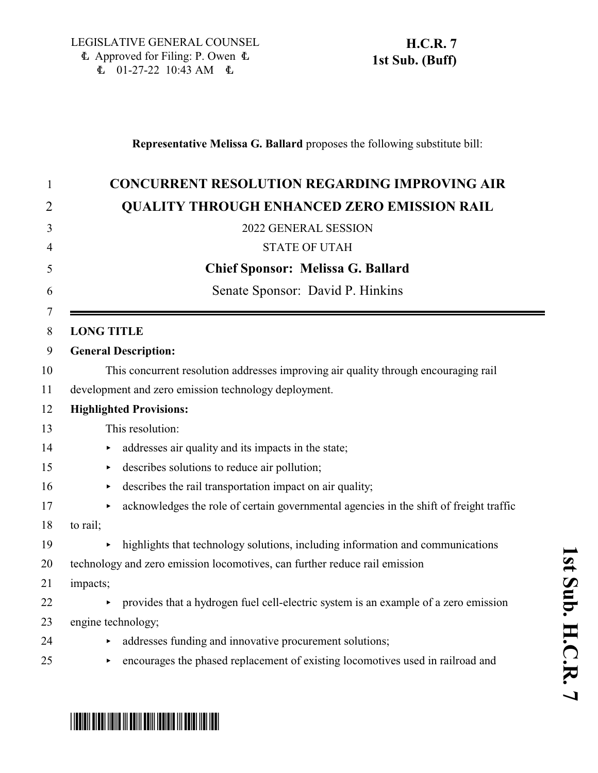### **Representative Melissa G. Ballard** proposes the following substitute bill:

| <b>CONCURRENT RESOLUTION REGARDING IMPROVING AIR</b>                                     |
|------------------------------------------------------------------------------------------|
| <b>QUALITY THROUGH ENHANCED ZERO EMISSION RAIL</b>                                       |
| 2022 GENERAL SESSION                                                                     |
| <b>STATE OF UTAH</b>                                                                     |
| <b>Chief Sponsor: Melissa G. Ballard</b>                                                 |
| Senate Sponsor: David P. Hinkins                                                         |
| <b>LONG TITLE</b>                                                                        |
| <b>General Description:</b>                                                              |
| This concurrent resolution addresses improving air quality through encouraging rail      |
| development and zero emission technology deployment.                                     |
| <b>Highlighted Provisions:</b>                                                           |
| This resolution:                                                                         |
| addresses air quality and its impacts in the state;                                      |
| describes solutions to reduce air pollution;<br>▶                                        |
| describes the rail transportation impact on air quality;<br>▶                            |
| acknowledges the role of certain governmental agencies in the shift of freight traffic   |
| to rail;                                                                                 |
| highlights that technology solutions, including information and communications           |
| technology and zero emission locomotives, can further reduce rail emission               |
| impacts;                                                                                 |
| provides that a hydrogen fuel cell-electric system is an example of a zero emission<br>▶ |
| engine technology;                                                                       |
| addresses funding and innovative procurement solutions;                                  |
| encourages the phased replacement of existing locomotives used in railroad and           |
|                                                                                          |

**1**

# \*HCR007S01\*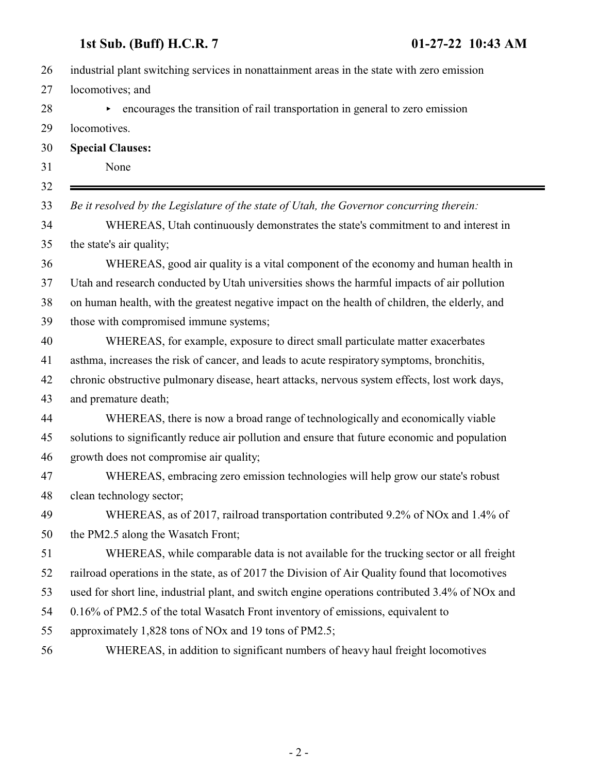## **1st Sub. (Buff) H.C.R. 7 01-27-22 10:43 AM**

| 26 | industrial plant switching services in nonattainment areas in the state with zero emission      |
|----|-------------------------------------------------------------------------------------------------|
| 27 | locomotives; and                                                                                |
| 28 | encourages the transition of rail transportation in general to zero emission<br>▶               |
| 29 | locomotives.                                                                                    |
| 30 | <b>Special Clauses:</b>                                                                         |
| 31 | None                                                                                            |
| 32 |                                                                                                 |
| 33 | Be it resolved by the Legislature of the state of Utah, the Governor concurring therein:        |
| 34 | WHEREAS, Utah continuously demonstrates the state's commitment to and interest in               |
| 35 | the state's air quality;                                                                        |
| 36 | WHEREAS, good air quality is a vital component of the economy and human health in               |
| 37 | Utah and research conducted by Utah universities shows the harmful impacts of air pollution     |
| 38 | on human health, with the greatest negative impact on the health of children, the elderly, and  |
| 39 | those with compromised immune systems;                                                          |
| 40 | WHEREAS, for example, exposure to direct small particulate matter exacerbates                   |
| 41 | asthma, increases the risk of cancer, and leads to acute respiratory symptoms, bronchitis,      |
| 42 | chronic obstructive pulmonary disease, heart attacks, nervous system effects, lost work days,   |
| 43 | and premature death;                                                                            |
| 44 | WHEREAS, there is now a broad range of technologically and economically viable                  |
| 45 | solutions to significantly reduce air pollution and ensure that future economic and population  |
| 46 | growth does not compromise air quality;                                                         |
| 47 | WHEREAS, embracing zero emission technologies will help grow our state's robust                 |
| 48 | clean technology sector;                                                                        |
| 49 | WHEREAS, as of 2017, railroad transportation contributed 9.2% of NOx and 1.4% of                |
| 50 | the PM2.5 along the Wasatch Front;                                                              |
| 51 | WHEREAS, while comparable data is not available for the trucking sector or all freight          |
| 52 | railroad operations in the state, as of 2017 the Division of Air Quality found that locomotives |
| 53 | used for short line, industrial plant, and switch engine operations contributed 3.4% of NOx and |
| 54 | 0.16% of PM2.5 of the total Wasatch Front inventory of emissions, equivalent to                 |
| 55 | approximately 1,828 tons of NO <sub>x</sub> and 19 tons of PM2.5;                               |
| 56 | WHEREAS, in addition to significant numbers of heavy haul freight locomotives                   |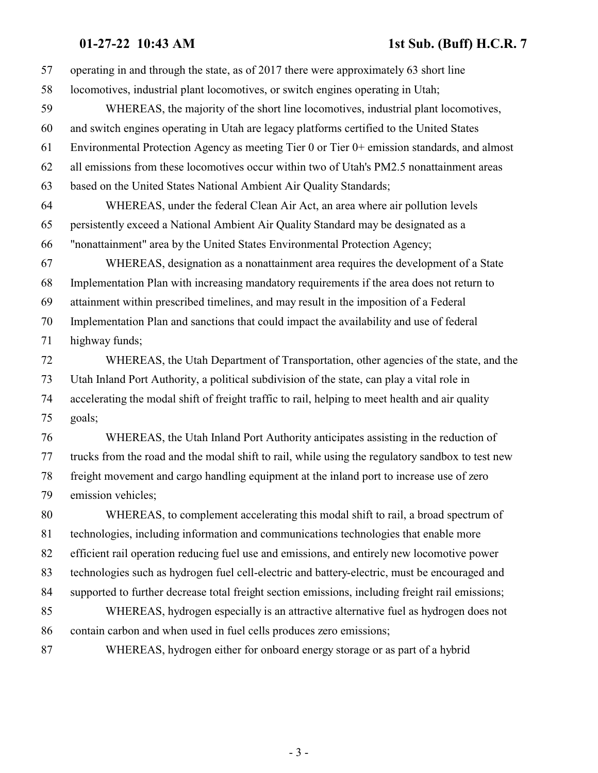### **01-27-22 10:43 AM 1st Sub. (Buff) H.C.R. 7**

 operating in and through the state, as of 2017 there were approximately 63 short line locomotives, industrial plant locomotives, or switch engines operating in Utah; WHEREAS, the majority of the short line locomotives, industrial plant locomotives, and switch engines operating in Utah are legacy platforms certified to the United States Environmental Protection Agency as meeting Tier 0 or Tier 0+ emission standards, and almost all emissions from these locomotives occur within two of Utah's PM2.5 nonattainment areas based on the United States National Ambient Air Quality Standards; WHEREAS, under the federal Clean Air Act, an area where air pollution levels persistently exceed a National Ambient Air Quality Standard may be designated as a "nonattainment" area by the United States Environmental Protection Agency; WHEREAS, designation as a nonattainment area requires the development of a State Implementation Plan with increasing mandatory requirements if the area does not return to attainment within prescribed timelines, and may result in the imposition of a Federal Implementation Plan and sanctions that could impact the availability and use of federal highway funds; WHEREAS, the Utah Department of Transportation, other agencies of the state, and the Utah Inland Port Authority, a political subdivision of the state, can play a vital role in accelerating the modal shift of freight traffic to rail, helping to meet health and air quality goals; WHEREAS, the Utah Inland Port Authority anticipates assisting in the reduction of trucks from the road and the modal shift to rail, while using the regulatory sandbox to test new freight movement and cargo handling equipment at the inland port to increase use of zero emission vehicles; WHEREAS, to complement accelerating this modal shift to rail, a broad spectrum of technologies, including information and communications technologies that enable more efficient rail operation reducing fuel use and emissions, and entirely new locomotive power technologies such as hydrogen fuel cell-electric and battery-electric, must be encouraged and supported to further decrease total freight section emissions, including freight rail emissions; WHEREAS, hydrogen especially is an attractive alternative fuel as hydrogen does not contain carbon and when used in fuel cells produces zero emissions; WHEREAS, hydrogen either for onboard energy storage or as part of a hybrid

- 3 -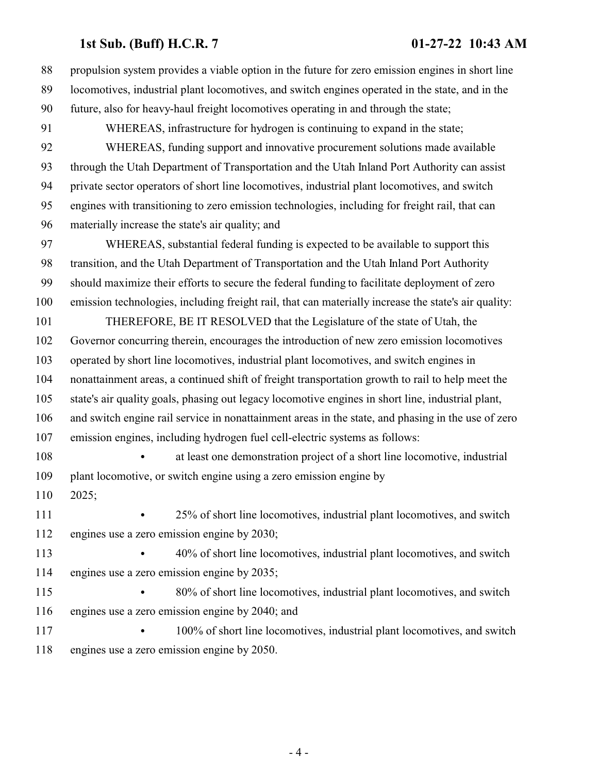## **1st Sub. (Buff) H.C.R. 7 01-27-22 10:43 AM**

| 88  | propulsion system provides a viable option in the future for zero emission engines in short line     |
|-----|------------------------------------------------------------------------------------------------------|
| 89  | locomotives, industrial plant locomotives, and switch engines operated in the state, and in the      |
| 90  | future, also for heavy-haul freight locomotives operating in and through the state;                  |
| 91  | WHEREAS, infrastructure for hydrogen is continuing to expand in the state;                           |
| 92  | WHEREAS, funding support and innovative procurement solutions made available                         |
| 93  | through the Utah Department of Transportation and the Utah Inland Port Authority can assist          |
| 94  | private sector operators of short line locomotives, industrial plant locomotives, and switch         |
| 95  | engines with transitioning to zero emission technologies, including for freight rail, that can       |
| 96  | materially increase the state's air quality; and                                                     |
| 97  | WHEREAS, substantial federal funding is expected to be available to support this                     |
| 98  | transition, and the Utah Department of Transportation and the Utah Inland Port Authority             |
| 99  | should maximize their efforts to secure the federal funding to facilitate deployment of zero         |
| 100 | emission technologies, including freight rail, that can materially increase the state's air quality: |
| 101 | THEREFORE, BE IT RESOLVED that the Legislature of the state of Utah, the                             |
| 102 | Governor concurring therein, encourages the introduction of new zero emission locomotives            |
| 103 | operated by short line locomotives, industrial plant locomotives, and switch engines in              |
| 104 | nonattainment areas, a continued shift of freight transportation growth to rail to help meet the     |
| 105 | state's air quality goals, phasing out legacy locomotive engines in short line, industrial plant,    |
| 106 | and switch engine rail service in nonattainment areas in the state, and phasing in the use of zero   |
| 107 | emission engines, including hydrogen fuel cell-electric systems as follows:                          |
| 108 | at least one demonstration project of a short line locomotive, industrial                            |
| 109 | plant locomotive, or switch engine using a zero emission engine by                                   |
| 110 | 2025;                                                                                                |
| 111 | 25% of short line locomotives, industrial plant locomotives, and switch                              |
| 112 | engines use a zero emission engine by 2030;                                                          |
| 113 | 40% of short line locomotives, industrial plant locomotives, and switch                              |
| 114 | engines use a zero emission engine by 2035;                                                          |
| 115 | 80% of short line locomotives, industrial plant locomotives, and switch                              |
| 116 | engines use a zero emission engine by 2040; and                                                      |
| 117 | 100% of short line locomotives, industrial plant locomotives, and switch                             |
| 118 | engines use a zero emission engine by 2050.                                                          |